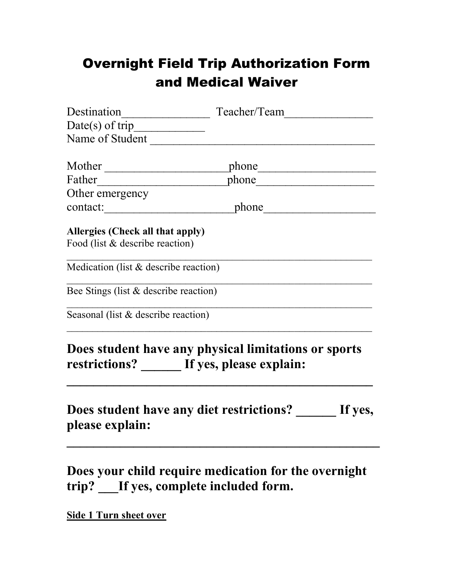## Overnight Field Trip Authorization Form and Medical Waiver

| Name of Student                         |                                                      |  |  |
|-----------------------------------------|------------------------------------------------------|--|--|
|                                         |                                                      |  |  |
|                                         | Father phone phone phone                             |  |  |
| Other emergency                         |                                                      |  |  |
|                                         | contact: phone phone                                 |  |  |
| Allergies (Check all that apply)        |                                                      |  |  |
| Food (list & describe reaction)         |                                                      |  |  |
| Medication (list $&$ describe reaction) |                                                      |  |  |
| Bee Stings (list & describe reaction)   |                                                      |  |  |
| Seasonal (list & describe reaction)     |                                                      |  |  |
|                                         | Does student have any physical limitations or sports |  |  |
|                                         | restrictions? ______ If yes, please explain:         |  |  |
| please explain:                         | Does student have any diet restrictions? If yes,     |  |  |
|                                         |                                                      |  |  |

**Does your child require medication for the overnight trip? \_\_\_If yes, complete included form.**

**Side 1 Turn sheet over**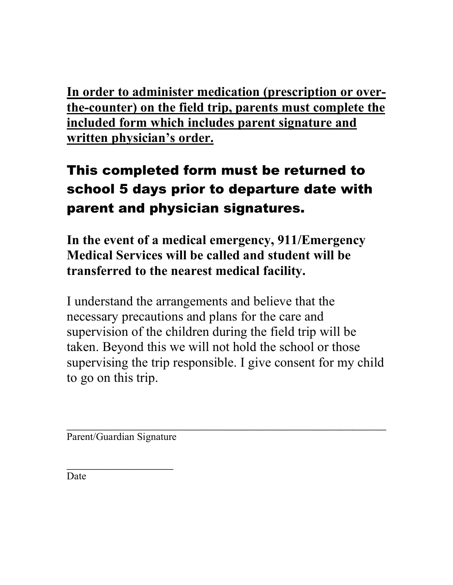**In order to administer medication (prescription or overthe-counter) on the field trip, parents must complete the included form which includes parent signature and written physician's order.**

## This completed form must be returned to school 5 days prior to departure date with parent and physician signatures.

**In the event of a medical emergency, 911/Emergency Medical Services will be called and student will be transferred to the nearest medical facility.**

I understand the arrangements and believe that the necessary precautions and plans for the care and supervision of the children during the field trip will be taken. Beyond this we will not hold the school or those supervising the trip responsible. I give consent for my child to go on this trip.

 $\mathcal{L}_\text{max}$  , and the contract of the contract of the contract of the contract of the contract of the contract of the contract of the contract of the contract of the contract of the contract of the contract of the contr

Parent/Guardian Signature

 $\frac{1}{2}$ 

Date